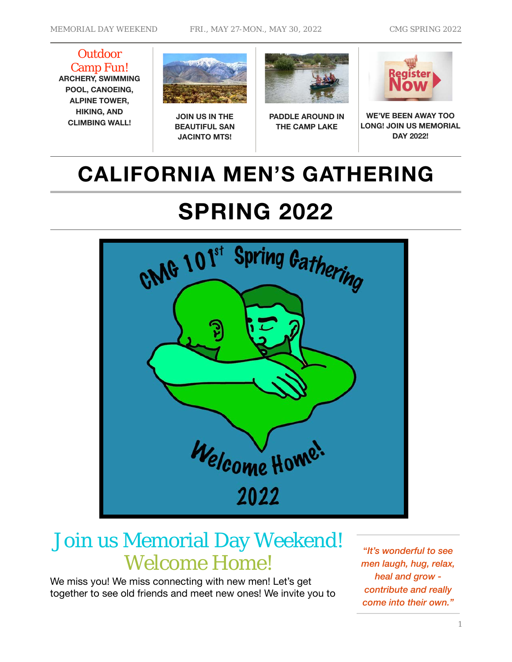**Outdoor** Camp Fun! **ARCHERY, SWIMMING POOL, CANOEING, ALPINE TOWER, HIKING, AND CLIMBING WALL!**



**JOIN US IN THE BEAUTIFUL SAN JACINTO MTS!**



**PADDLE AROUND IN THE CAMP LAKE**



**WE'VE BEEN AWAY TOO LONG! JOIN US MEMORIAL DAY 2022!**

# **CALIFORNIA MEN'S GATHERING**

# **SPRING 2022**



# Join us Memorial Day Weekend! Welcome Home!

We miss you! We miss connecting with new men! Let's get together to see old friends and meet new ones! We invite you to

"*It's wonderful to see men laugh, hug, relax, heal and grow contribute and really come into their own."*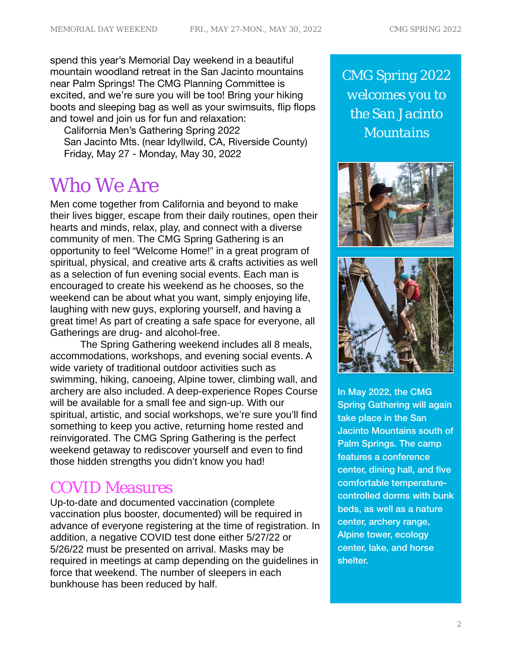spend this year's Memorial Day weekend in a beautiful mountain woodland retreat in the San Jacinto mountains near Palm Springs! The CMG Planning Committee is excited, and we're sure you will be too! Bring your hiking boots and sleeping bag as well as your swimsuits, flip flops and towel and join us for fun and relaxation:

 California Men's Gathering Spring 2022 San Jacinto Mts. (near Idyllwild, CA, Riverside County) Friday, May 27 - Monday, May 30, 2022

# Who We Are

Men come together from California and beyond to make their lives bigger, escape from their daily routines, open their hearts and minds, relax, play, and connect with a diverse community of men. The CMG Spring Gathering is an opportunity to feel "Welcome Home!" in a great program of spiritual, physical, and creative arts & crafts activities as well as a selection of fun evening social events. Each man is encouraged to create his weekend as he chooses, so the weekend can be about what you want, simply enjoying life, laughing with new guys, exploring yourself, and having a great time! As part of creating a safe space for everyone, all Gatherings are drug- and alcohol-free.

The Spring Gathering weekend includes all 8 meals, accommodations, workshops, and evening social events. A wide variety of traditional outdoor activities such as swimming, hiking, canoeing, Alpine tower, climbing wall, and archery are also included. A deep-experience Ropes Course will be available for a small fee and sign-up. With our spiritual, artistic, and social workshops, we're sure you'll find something to keep you active, returning home rested and reinvigorated. The CMG Spring Gathering is the perfect weekend getaway to rediscover yourself and even to find those hidden strengths you didn't know you had!

# COVID Measures

Up-to-date and documented vaccination (complete vaccination plus booster, documented) will be required in advance of everyone registering at the time of registration. In addition, a negative COVID test done either 5/27/22 or 5/26/22 must be presented on arrival. Masks may be required in meetings at camp depending on the guidelines in force that weekend. The number of sleepers in each bunkhouse has been reduced by half.

*CMG Spring 2022 welcomes you to the San Jacinto Mountains*





In May 2022, the CMG Spring Gathering will again take place in the San Jacinto Mountains south of Palm Springs. The camp features a conference center, dining hall, and five comfortable temperaturecontrolled dorms with bunk beds, as well as a nature center, archery range, Alpine tower, ecology center, lake, and horse shelter.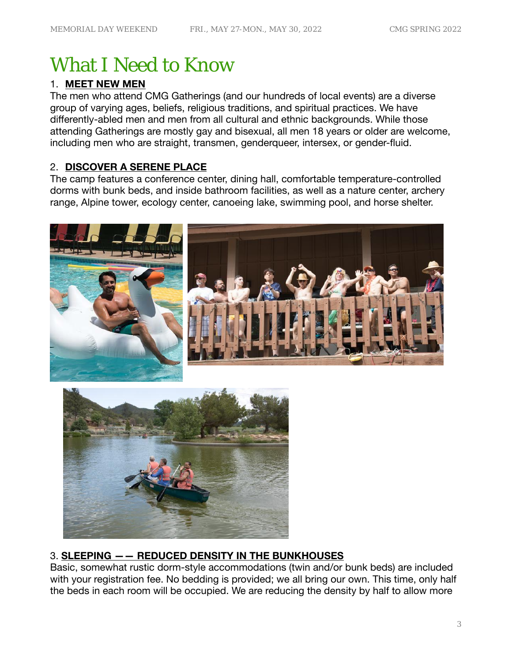# What I Need to Know

# 1. **MEET NEW MEN**

The men who attend CMG Gatherings (and our hundreds of local events) are a diverse group of varying ages, beliefs, religious traditions, and spiritual practices. We have differently-abled men and men from all cultural and ethnic backgrounds. While those attending Gatherings are mostly gay and bisexual, all men 18 years or older are welcome, including men who are straight, transmen, genderqueer, intersex, or gender-fluid.

# 2. **DISCOVER A SERENE PLACE**

The camp features a conference center, dining hall, comfortable temperature-controlled dorms with bunk beds, and inside bathroom facilities, as well as a nature center, archery range, Alpine tower, ecology center, canoeing lake, swimming pool, and horse shelter.





# 3. **SLEEPING —— REDUCED DENSITY IN THE BUNKHOUSES**

Basic, somewhat rustic dorm-style accommodations (twin and/or bunk beds) are included with your registration fee. No bedding is provided; we all bring our own. This time, only half the beds in each room will be occupied. We are reducing the density by half to allow more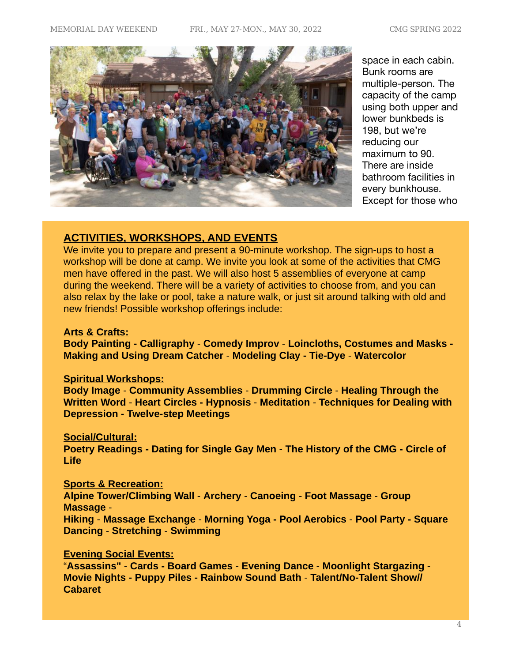

space in each cabin. Bunk rooms are multiple-person. The capacity of the camp using both upper and lower bunkbeds is 198, but we're reducing our maximum to 90. There are inside bathroom facilities in every bunkhouse. Except for those who

### **ACTIVITIES, WORKSHOPS, AND EVENTS**

We invite you to prepare and present a 90-minute workshop. The sign-ups to host a workshop will be done at camp. We invite you look at some of the activities that CMG men have offered in the past. We will also host 5 assemblies of everyone at camp during the weekend. There will be a variety of activities to choose from, and you can also relax by the lake or pool, take a nature walk, or just sit around talking with old and new friends! Possible workshop offerings include:

#### **Arts & Crafts:**

**Body Painting - Calligraphy** - **Comedy Improv** - **Loincloths, Costumes and Masks - Making and Using Dream Catcher** - **Modeling Clay - Tie-Dye** - **Watercolor** 

#### **Spiritual Workshops:**

**Body Image** - **Community Assemblies** - **Drumming Circle** - **Healing Through the Written Word** - **Heart Circles - Hypnosis** - **Meditation** - **Techniques for Dealing with Depression - Twelve-step Meetings**

#### **Social/Cultural:**

**Poetry Readings - Dating for Single Gay Men** - **The History of the CMG - Circle of Life**

#### **Sports & Recreation:**

**Alpine Tower/Climbing Wall** - **Archery** - **Canoeing** - **Foot Massage** - **Group Massage** -

**Hiking** - **Massage Exchange** - **Morning Yoga - Pool Aerobics** - **Pool Party - Square Dancing** - **Stretching** - **Swimming**

#### **Evening Social Events:**

"**Assassins"** - **Cards - Board Games** - **Evening Dance** - **Moonlight Stargazing** - **Movie Nights - Puppy Piles - Rainbow Sound Bath** - **Talent/No-Talent Show// Cabaret**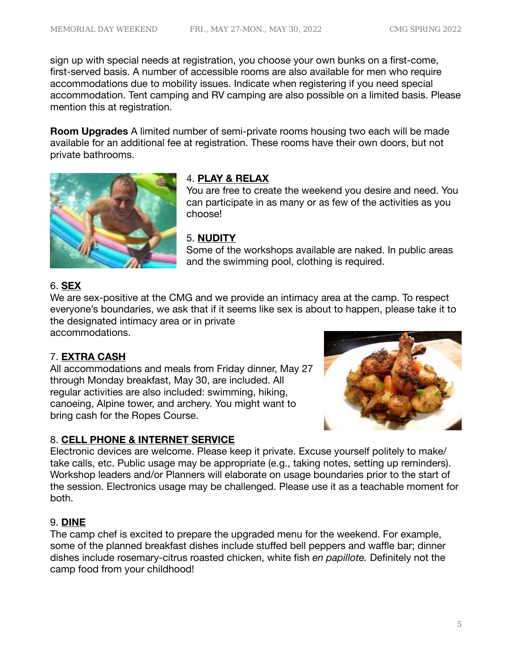sign up with special needs at registration, you choose your own bunks on a first-come, first-served basis. A number of accessible rooms are also available for men who require accommodations due to mobility issues. Indicate when registering if you need special accommodation. Tent camping and RV camping are also possible on a limited basis. Please mention this at registration.

**Room Upgrades** A limited number of semi-private rooms housing two each will be made available for an additional fee at registration. These rooms have their own doors, but not private bathrooms.



# 4. **PLAY & RELAX**

You are free to create the weekend you desire and need. You can participate in as many or as few of the activities as you choose!

# 5. **NUDITY**

Some of the workshops available are naked. In public areas and the swimming pool, clothing is required.

# 6. **SEX**

We are sex-positive at the CMG and we provide an intimacy area at the camp. To respect everyone's boundaries, we ask that if it seems like sex is about to happen, please take it to the designated intimacy area or in private accommodations.

# 7. **EXTRA CASH**

All accommodations and meals from Friday dinner, May 27 through Monday breakfast, May 30, are included. All regular activities are also included: swimming, hiking, canoeing, Alpine tower, and archery. You might want to bring cash for the Ropes Course.



# 8. **CELL PHONE & INTERNET SERVICE**

Electronic devices are welcome. Please keep it private. Excuse yourself politely to make/ take calls, etc. Public usage may be appropriate (e.g., taking notes, setting up reminders). Workshop leaders and/or Planners will elaborate on usage boundaries prior to the start of the session. Electronics usage may be challenged. Please use it as a teachable moment for both.

# 9. **DINE**

The camp chef is excited to prepare the upgraded menu for the weekend. For example, some of the planned breakfast dishes include stuffed bell peppers and waffle bar; dinner dishes include rosemary-citrus roasted chicken, white fish *en papillote.* Definitely not the camp food from your childhood!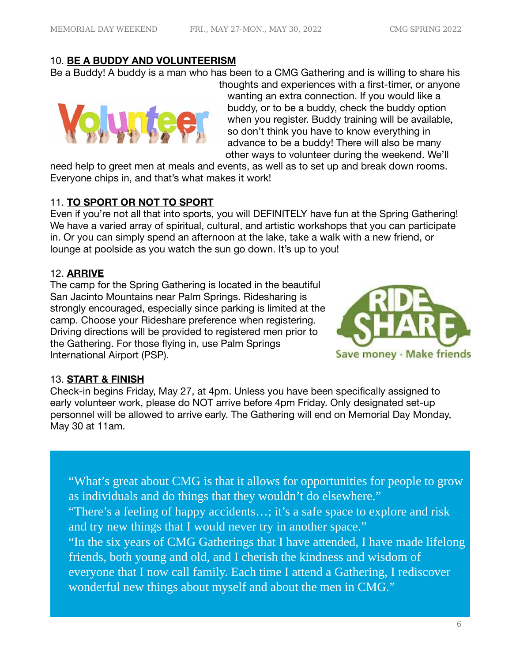### 10. **BE A BUDDY AND VOLUNTEERISM**

Be a Buddy! A buddy is a man who has been to a CMG Gathering and is willing to share his



thoughts and experiences with a first-timer, or anyone wanting an extra connection. If you would like a buddy, or to be a buddy, check the buddy option when you register. Buddy training will be available, so don't think you have to know everything in advance to be a buddy! There will also be many other ways to volunteer during the weekend. We'll

need help to greet men at meals and events, as well as to set up and break down rooms. Everyone chips in, and that's what makes it work!

# 11. **TO SPORT OR NOT TO SPORT**

Even if you're not all that into sports, you will DEFINITELY have fun at the Spring Gathering! We have a varied array of spiritual, cultural, and artistic workshops that you can participate in. Or you can simply spend an afternoon at the lake, take a walk with a new friend, or lounge at poolside as you watch the sun go down. It's up to you!

# 12. **ARRIVE**

The camp for the Spring Gathering is located in the beautiful San Jacinto Mountains near Palm Springs. Ridesharing is strongly encouraged, especially since parking is limited at the camp. Choose your Rideshare preference when registering. Driving directions will be provided to registered men prior to the Gathering. For those flying in, use Palm Springs International Airport (PSP).



# 13. **START & FINISH**

Check-in begins Friday, May 27, at 4pm. Unless you have been specifically assigned to early volunteer work, please do NOT arrive before 4pm Friday. Only designated set-up personnel will be allowed to arrive early. The Gathering will end on Memorial Day Monday, May 30 at 11am.

"What's great about CMG is that it allows for opportunities for people to grow as individuals and do things that they wouldn't do elsewhere." "There's a feeling of happy accidents…; it's a safe space to explore and risk and try new things that I would never try in another space." "In the six years of CMG Gatherings that I have attended, I have made lifelong friends, both young and old, and I cherish the kindness and wisdom of everyone that I now call family. Each time I attend a Gathering, I rediscover wonderful new things about myself and about the men in CMG."